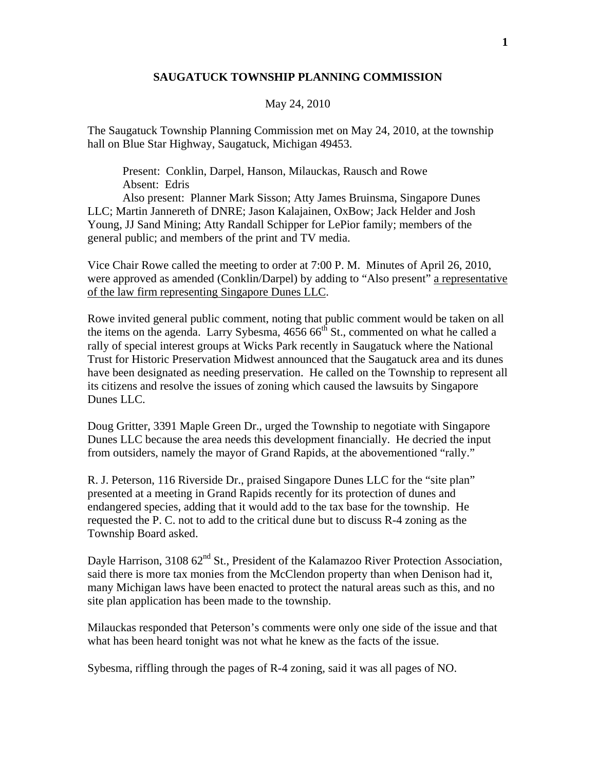## **SAUGATUCK TOWNSHIP PLANNING COMMISSION**

## May 24, 2010

The Saugatuck Township Planning Commission met on May 24, 2010, at the township hall on Blue Star Highway, Saugatuck, Michigan 49453.

 Present: Conklin, Darpel, Hanson, Milauckas, Rausch and Rowe Absent: Edris

 Also present: Planner Mark Sisson; Atty James Bruinsma, Singapore Dunes LLC; Martin Jannereth of DNRE; Jason Kalajainen, OxBow; Jack Helder and Josh Young, JJ Sand Mining; Atty Randall Schipper for LePior family; members of the general public; and members of the print and TV media.

Vice Chair Rowe called the meeting to order at 7:00 P. M. Minutes of April 26, 2010, were approved as amended (Conklin/Darpel) by adding to "Also present" a representative of the law firm representing Singapore Dunes LLC.

Rowe invited general public comment, noting that public comment would be taken on all the items on the agenda. Larry Sybesma,  $4656 66^{th}$  St., commented on what he called a rally of special interest groups at Wicks Park recently in Saugatuck where the National Trust for Historic Preservation Midwest announced that the Saugatuck area and its dunes have been designated as needing preservation. He called on the Township to represent all its citizens and resolve the issues of zoning which caused the lawsuits by Singapore Dunes LLC.

Doug Gritter, 3391 Maple Green Dr., urged the Township to negotiate with Singapore Dunes LLC because the area needs this development financially. He decried the input from outsiders, namely the mayor of Grand Rapids, at the abovementioned "rally."

R. J. Peterson, 116 Riverside Dr., praised Singapore Dunes LLC for the "site plan" presented at a meeting in Grand Rapids recently for its protection of dunes and endangered species, adding that it would add to the tax base for the township. He requested the P. C. not to add to the critical dune but to discuss R-4 zoning as the Township Board asked.

Dayle Harrison,  $310862<sup>nd</sup>$  St., President of the Kalamazoo River Protection Association, said there is more tax monies from the McClendon property than when Denison had it, many Michigan laws have been enacted to protect the natural areas such as this, and no site plan application has been made to the township.

Milauckas responded that Peterson's comments were only one side of the issue and that what has been heard tonight was not what he knew as the facts of the issue.

Sybesma, riffling through the pages of R-4 zoning, said it was all pages of NO.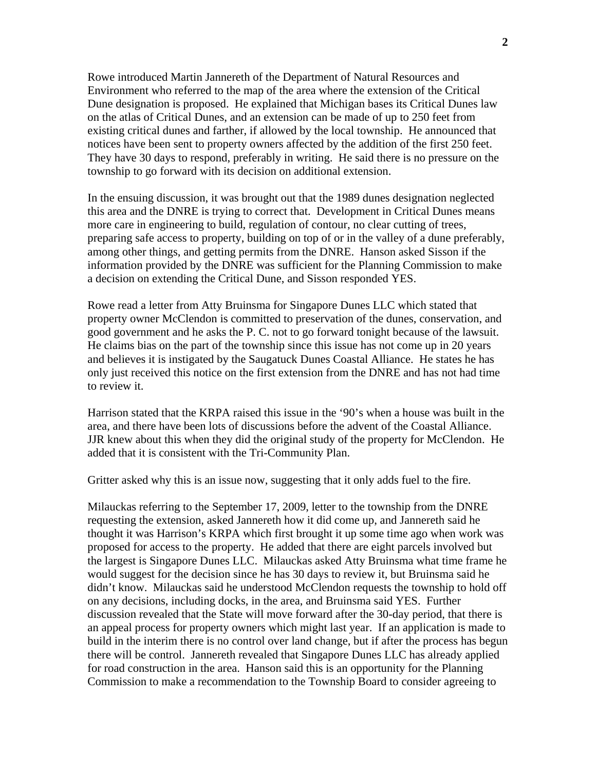Rowe introduced Martin Jannereth of the Department of Natural Resources and Environment who referred to the map of the area where the extension of the Critical Dune designation is proposed. He explained that Michigan bases its Critical Dunes law on the atlas of Critical Dunes, and an extension can be made of up to 250 feet from existing critical dunes and farther, if allowed by the local township. He announced that notices have been sent to property owners affected by the addition of the first 250 feet. They have 30 days to respond, preferably in writing. He said there is no pressure on the township to go forward with its decision on additional extension.

In the ensuing discussion, it was brought out that the 1989 dunes designation neglected this area and the DNRE is trying to correct that. Development in Critical Dunes means more care in engineering to build, regulation of contour, no clear cutting of trees, preparing safe access to property, building on top of or in the valley of a dune preferably, among other things, and getting permits from the DNRE. Hanson asked Sisson if the information provided by the DNRE was sufficient for the Planning Commission to make a decision on extending the Critical Dune, and Sisson responded YES.

Rowe read a letter from Atty Bruinsma for Singapore Dunes LLC which stated that property owner McClendon is committed to preservation of the dunes, conservation, and good government and he asks the P. C. not to go forward tonight because of the lawsuit. He claims bias on the part of the township since this issue has not come up in 20 years and believes it is instigated by the Saugatuck Dunes Coastal Alliance. He states he has only just received this notice on the first extension from the DNRE and has not had time to review it.

Harrison stated that the KRPA raised this issue in the '90's when a house was built in the area, and there have been lots of discussions before the advent of the Coastal Alliance. JJR knew about this when they did the original study of the property for McClendon. He added that it is consistent with the Tri-Community Plan.

Gritter asked why this is an issue now, suggesting that it only adds fuel to the fire.

Milauckas referring to the September 17, 2009, letter to the township from the DNRE requesting the extension, asked Jannereth how it did come up, and Jannereth said he thought it was Harrison's KRPA which first brought it up some time ago when work was proposed for access to the property. He added that there are eight parcels involved but the largest is Singapore Dunes LLC. Milauckas asked Atty Bruinsma what time frame he would suggest for the decision since he has 30 days to review it, but Bruinsma said he didn't know. Milauckas said he understood McClendon requests the township to hold off on any decisions, including docks, in the area, and Bruinsma said YES. Further discussion revealed that the State will move forward after the 30-day period, that there is an appeal process for property owners which might last year. If an application is made to build in the interim there is no control over land change, but if after the process has begun there will be control. Jannereth revealed that Singapore Dunes LLC has already applied for road construction in the area. Hanson said this is an opportunity for the Planning Commission to make a recommendation to the Township Board to consider agreeing to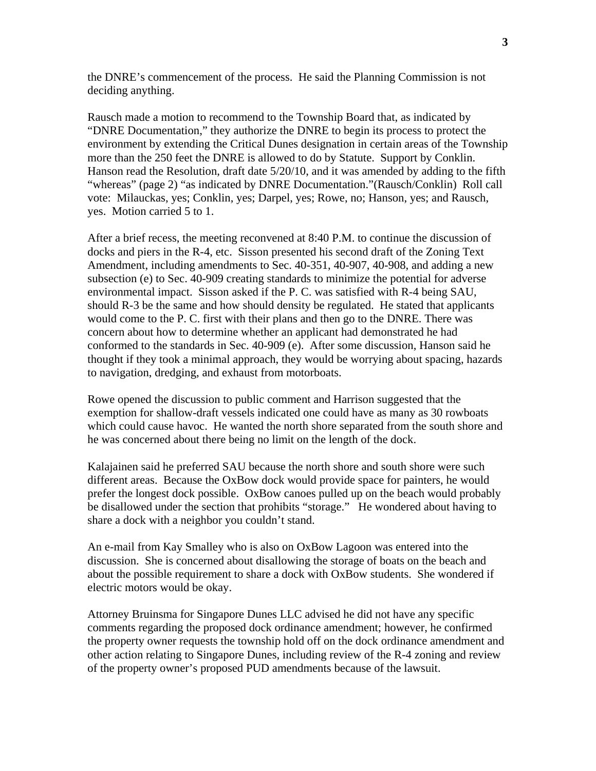the DNRE's commencement of the process. He said the Planning Commission is not deciding anything.

Rausch made a motion to recommend to the Township Board that, as indicated by "DNRE Documentation," they authorize the DNRE to begin its process to protect the environment by extending the Critical Dunes designation in certain areas of the Township more than the 250 feet the DNRE is allowed to do by Statute. Support by Conklin. Hanson read the Resolution, draft date 5/20/10, and it was amended by adding to the fifth "whereas" (page 2) "as indicated by DNRE Documentation."(Rausch/Conklin) Roll call vote: Milauckas, yes; Conklin, yes; Darpel, yes; Rowe, no; Hanson, yes; and Rausch, yes. Motion carried 5 to 1.

After a brief recess, the meeting reconvened at 8:40 P.M. to continue the discussion of docks and piers in the R-4, etc. Sisson presented his second draft of the Zoning Text Amendment, including amendments to Sec. 40-351, 40-907, 40-908, and adding a new subsection (e) to Sec. 40-909 creating standards to minimize the potential for adverse environmental impact. Sisson asked if the P. C. was satisfied with R-4 being SAU, should R-3 be the same and how should density be regulated. He stated that applicants would come to the P. C. first with their plans and then go to the DNRE. There was concern about how to determine whether an applicant had demonstrated he had conformed to the standards in Sec. 40-909 (e). After some discussion, Hanson said he thought if they took a minimal approach, they would be worrying about spacing, hazards to navigation, dredging, and exhaust from motorboats.

Rowe opened the discussion to public comment and Harrison suggested that the exemption for shallow-draft vessels indicated one could have as many as 30 rowboats which could cause havoc. He wanted the north shore separated from the south shore and he was concerned about there being no limit on the length of the dock.

Kalajainen said he preferred SAU because the north shore and south shore were such different areas. Because the OxBow dock would provide space for painters, he would prefer the longest dock possible. OxBow canoes pulled up on the beach would probably be disallowed under the section that prohibits "storage." He wondered about having to share a dock with a neighbor you couldn't stand.

An e-mail from Kay Smalley who is also on OxBow Lagoon was entered into the discussion. She is concerned about disallowing the storage of boats on the beach and about the possible requirement to share a dock with OxBow students. She wondered if electric motors would be okay.

Attorney Bruinsma for Singapore Dunes LLC advised he did not have any specific comments regarding the proposed dock ordinance amendment; however, he confirmed the property owner requests the township hold off on the dock ordinance amendment and other action relating to Singapore Dunes, including review of the R-4 zoning and review of the property owner's proposed PUD amendments because of the lawsuit.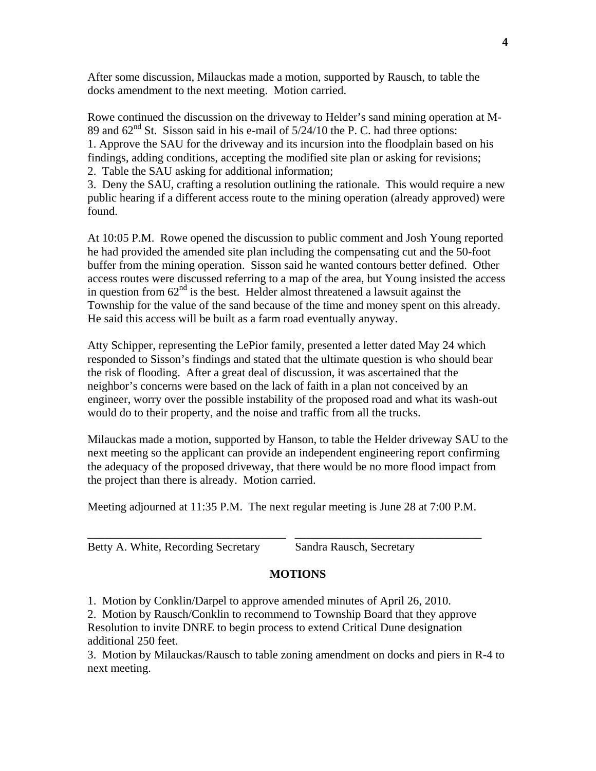After some discussion, Milauckas made a motion, supported by Rausch, to table the docks amendment to the next meeting. Motion carried.

Rowe continued the discussion on the driveway to Helder's sand mining operation at M-89 and  $62<sup>nd</sup>$  St. Sisson said in his e-mail of  $5/24/10$  the P. C. had three options: 1. Approve the SAU for the driveway and its incursion into the floodplain based on his findings, adding conditions, accepting the modified site plan or asking for revisions; 2. Table the SAU asking for additional information;

3. Deny the SAU, crafting a resolution outlining the rationale. This would require a new public hearing if a different access route to the mining operation (already approved) were found.

At 10:05 P.M. Rowe opened the discussion to public comment and Josh Young reported he had provided the amended site plan including the compensating cut and the 50-foot buffer from the mining operation. Sisson said he wanted contours better defined. Other access routes were discussed referring to a map of the area, but Young insisted the access in question from  $62<sup>nd</sup>$  is the best. Helder almost threatened a lawsuit against the Township for the value of the sand because of the time and money spent on this already. He said this access will be built as a farm road eventually anyway.

Atty Schipper, representing the LePior family, presented a letter dated May 24 which responded to Sisson's findings and stated that the ultimate question is who should bear the risk of flooding. After a great deal of discussion, it was ascertained that the neighbor's concerns were based on the lack of faith in a plan not conceived by an engineer, worry over the possible instability of the proposed road and what its wash-out would do to their property, and the noise and traffic from all the trucks.

Milauckas made a motion, supported by Hanson, to table the Helder driveway SAU to the next meeting so the applicant can provide an independent engineering report confirming the adequacy of the proposed driveway, that there would be no more flood impact from the project than there is already. Motion carried.

Meeting adjourned at 11:35 P.M. The next regular meeting is June 28 at 7:00 P.M.

\_\_\_\_\_\_\_\_\_\_\_\_\_\_\_\_\_\_\_\_\_\_\_\_\_\_\_\_\_\_\_\_\_\_ \_\_\_\_\_\_\_\_\_\_\_\_\_\_\_\_\_\_\_\_\_\_\_\_\_\_\_\_\_\_\_\_

| Betty A. White, Recording Secretary | Sandra Rausch, Secretary |
|-------------------------------------|--------------------------|
|                                     |                          |

## **MOTIONS**

1. Motion by Conklin/Darpel to approve amended minutes of April 26, 2010.

2. Motion by Rausch/Conklin to recommend to Township Board that they approve Resolution to invite DNRE to begin process to extend Critical Dune designation additional 250 feet.

3. Motion by Milauckas/Rausch to table zoning amendment on docks and piers in R-4 to next meeting.